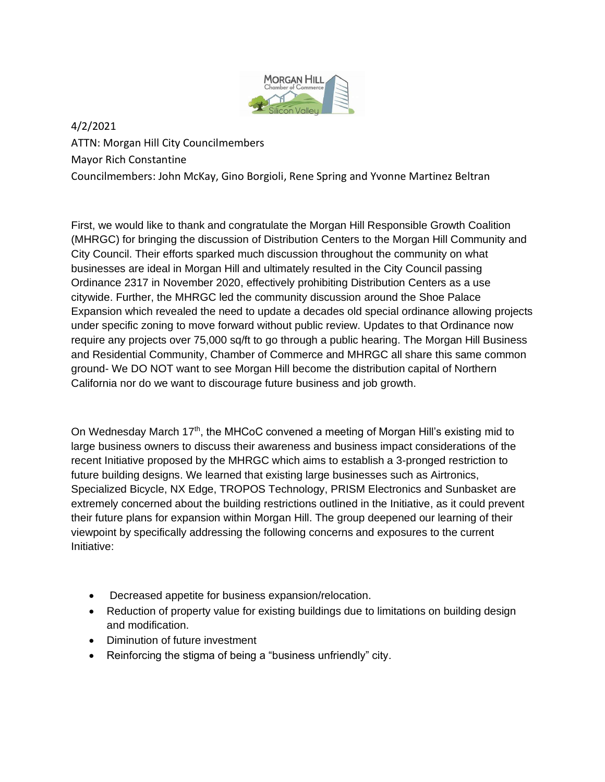

4/2/2021

ATTN: Morgan Hill City Councilmembers Mayor Rich Constantine Councilmembers: John McKay, Gino Borgioli, Rene Spring and Yvonne Martinez Beltran

First, we would like to thank and congratulate the Morgan Hill Responsible Growth Coalition (MHRGC) for bringing the discussion of Distribution Centers to the Morgan Hill Community and City Council. Their efforts sparked much discussion throughout the community on what businesses are ideal in Morgan Hill and ultimately resulted in the City Council passing Ordinance 2317 in November 2020, effectively prohibiting Distribution Centers as a use citywide. Further, the MHRGC led the community discussion around the Shoe Palace Expansion which revealed the need to update a decades old special ordinance allowing projects under specific zoning to move forward without public review. Updates to that Ordinance now require any projects over 75,000 sq/ft to go through a public hearing. The Morgan Hill Business and Residential Community, Chamber of Commerce and MHRGC all share this same common ground- We DO NOT want to see Morgan Hill become the distribution capital of Northern California nor do we want to discourage future business and job growth.

On Wednesday March 17<sup>th</sup>, the MHCoC convened a meeting of Morgan Hill's existing mid to large business owners to discuss their awareness and business impact considerations of the recent Initiative proposed by the MHRGC which aims to establish a 3-pronged restriction to future building designs. We learned that existing large businesses such as Airtronics, Specialized Bicycle, NX Edge, TROPOS Technology, PRISM Electronics and Sunbasket are extremely concerned about the building restrictions outlined in the Initiative, as it could prevent their future plans for expansion within Morgan Hill. The group deepened our learning of their viewpoint by specifically addressing the following concerns and exposures to the current Initiative:

- Decreased appetite for business expansion/relocation.
- Reduction of property value for existing buildings due to limitations on building design and modification.
- Diminution of future investment
- Reinforcing the stigma of being a "business unfriendly" city.